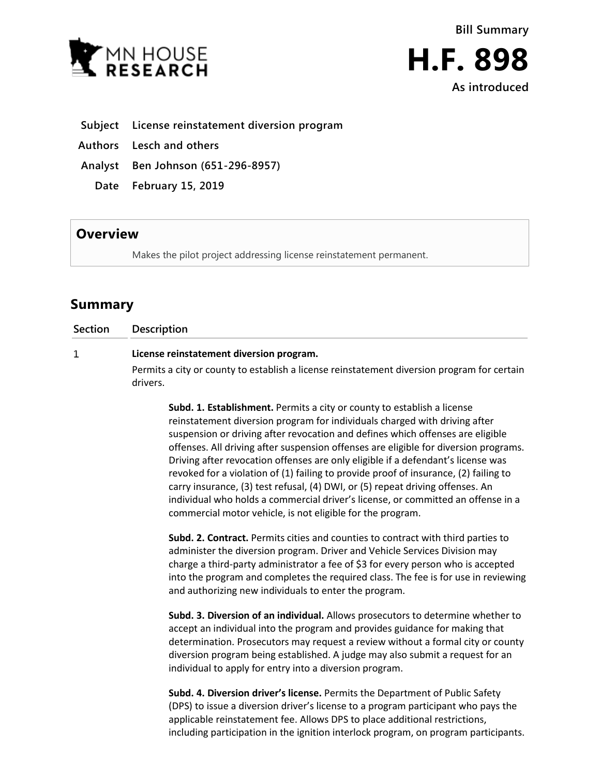

**As introduced**

- **Subject License reinstatement diversion program**
- **Authors Lesch and others**
- **Analyst Ben Johnson (651-296-8957)**
	- **Date February 15, 2019**

## **Overview**

Makes the pilot project addressing license reinstatement permanent.

## **Summary**

| <b>Section</b> | <b>Description</b>                                                                                                                                                                                                                                                                                                                                                                                                                                                                                                                                                                            |
|----------------|-----------------------------------------------------------------------------------------------------------------------------------------------------------------------------------------------------------------------------------------------------------------------------------------------------------------------------------------------------------------------------------------------------------------------------------------------------------------------------------------------------------------------------------------------------------------------------------------------|
| 1              | License reinstatement diversion program.                                                                                                                                                                                                                                                                                                                                                                                                                                                                                                                                                      |
|                | Permits a city or county to establish a license reinstatement diversion program for certain<br>drivers.                                                                                                                                                                                                                                                                                                                                                                                                                                                                                       |
|                | Subd. 1. Establishment. Permits a city or county to establish a license<br>reinstatement diversion program for individuals charged with driving after<br>suspension or driving after revocation and defines which offenses are eligible<br>offenses. All driving after suspension offenses are eligible for diversion programs.<br>Driving after revocation offenses are only eligible if a defendant's license was<br>revoked for a violation of (1) failing to provide proof of insurance, (2) failing to<br>carry insurance, (3) test refusal, (4) DWI, or (5) repeat driving offenses. An |

individual who holds a commercial driver's license, or committed an offense in a commercial motor vehicle, is not eligible for the program.

**Subd. 2. Contract.** Permits cities and counties to contract with third parties to administer the diversion program. Driver and Vehicle Services Division may charge a third-party administrator a fee of \$3 for every person who is accepted into the program and completes the required class. The fee is for use in reviewing and authorizing new individuals to enter the program.

**Subd. 3. Diversion of an individual.** Allows prosecutors to determine whether to accept an individual into the program and provides guidance for making that determination. Prosecutors may request a review without a formal city or county diversion program being established. A judge may also submit a request for an individual to apply for entry into a diversion program.

**Subd. 4. Diversion driver's license.** Permits the Department of Public Safety (DPS) to issue a diversion driver's license to a program participant who pays the applicable reinstatement fee. Allows DPS to place additional restrictions, including participation in the ignition interlock program, on program participants.